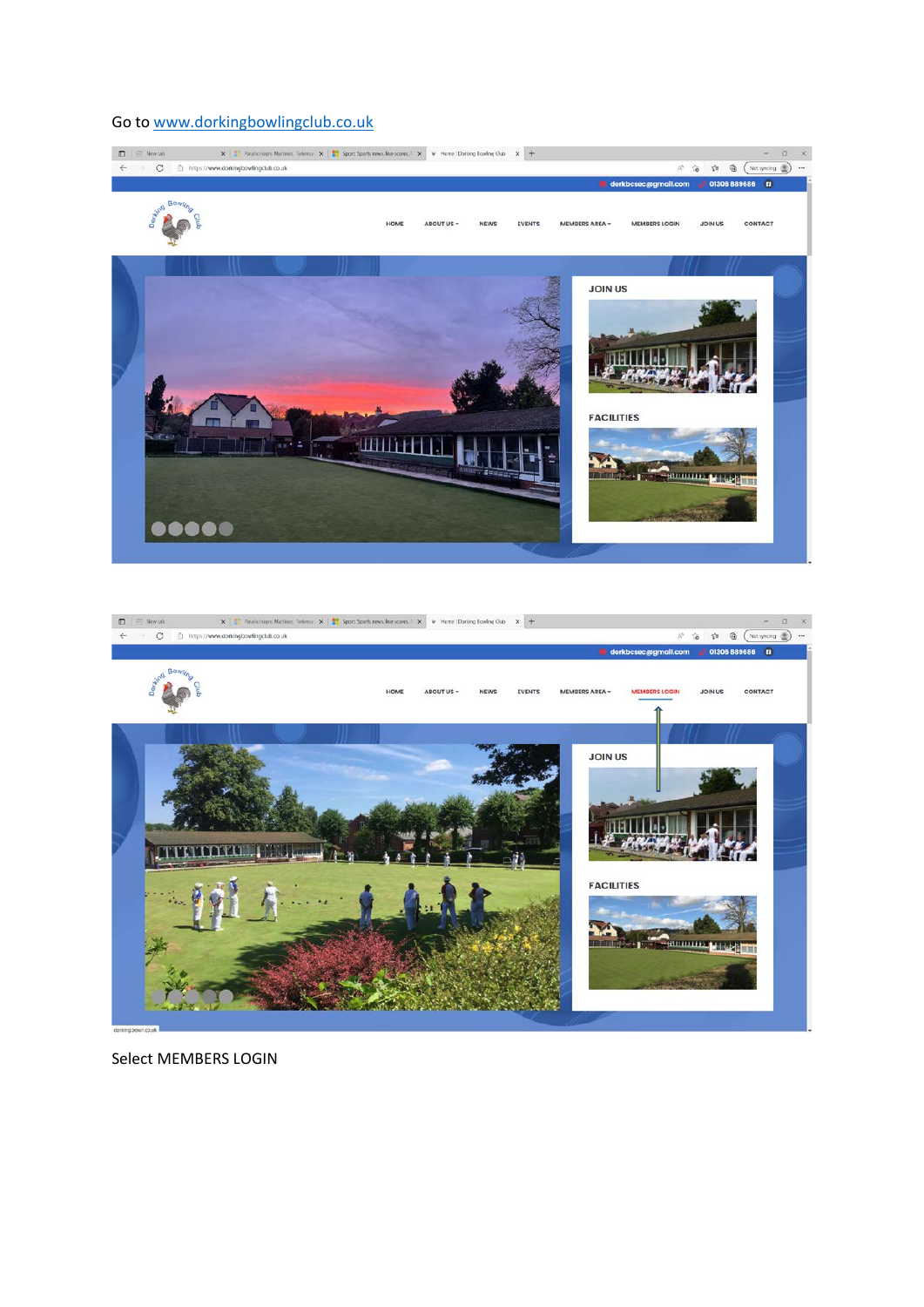# Go to [www.dorkingbowlingclub.co.uk](http://www.dorkingbowlingclub.co.uk/)





Select MEMBERS LOGIN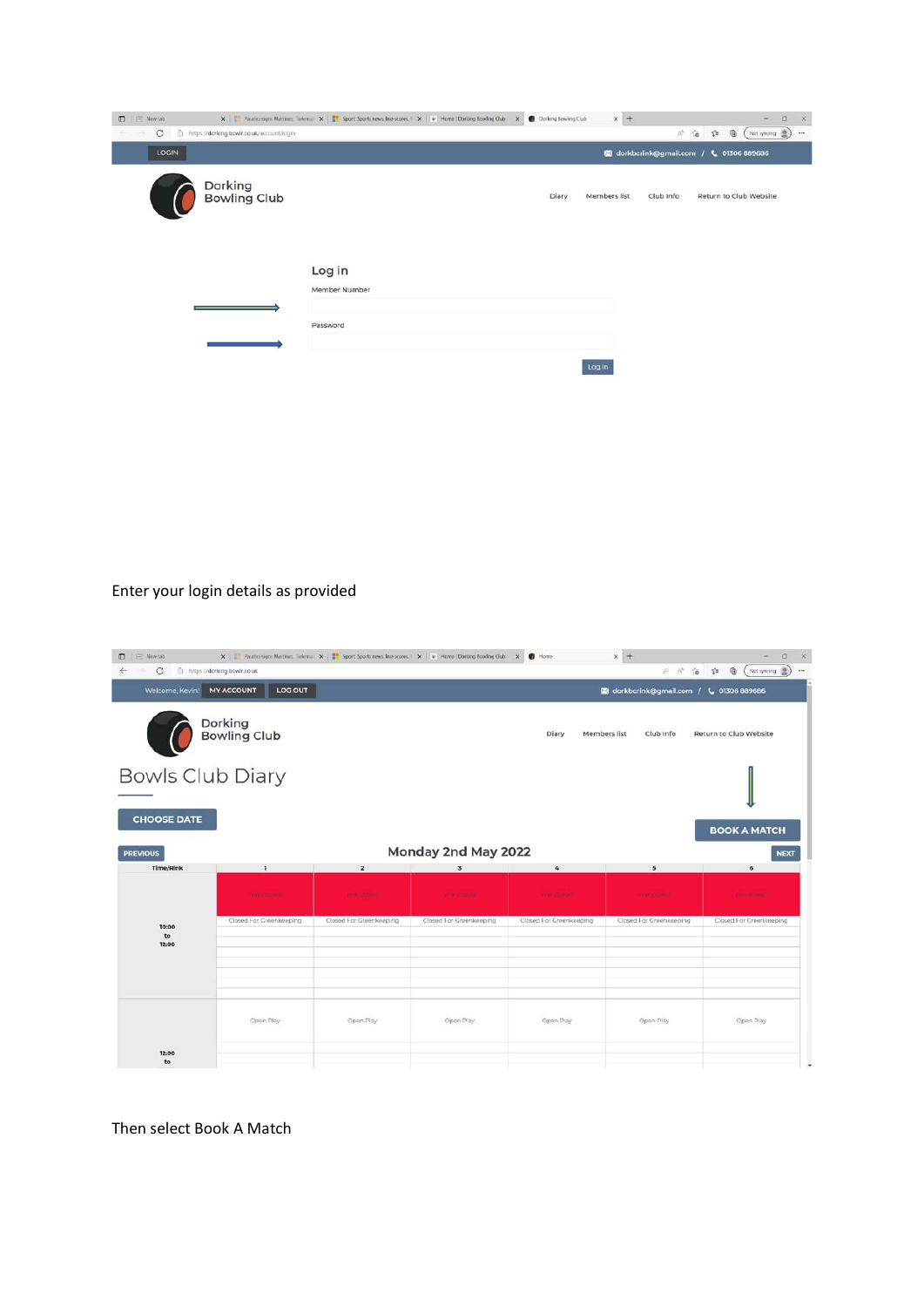| D   El Newtab  |                                           | X   Realici signs Mattinez, Telema: X     Sport Sports news, live scores   X   V Home   Dorking Bowling Club X   B Dorking Bowling Club |       | $\times$ +   |           | $\Box$<br>×.<br>$\overline{\phantom{a}}$                                         |
|----------------|-------------------------------------------|-----------------------------------------------------------------------------------------------------------------------------------------|-------|--------------|-----------|----------------------------------------------------------------------------------|
| $\circ$<br>-90 | https://dorking.bowlr.co.uk/account/login |                                                                                                                                         |       |              | $A^h$     | Not syncing (B)<br>$\gamma_{\rm eff}^{\rm th}$<br>$\oplus$<br>$\approx$<br>$***$ |
| LOGIN          |                                           |                                                                                                                                         |       |              |           | <b>124</b> dorkbcrink@gmail.com / L 01306 889686                                 |
|                | Dorking<br>Bowling Club                   |                                                                                                                                         | Diary | Members list | Club Info | Return to Club Website                                                           |
|                |                                           | Log in<br>Member Number                                                                                                                 |       |              |           |                                                                                  |
|                |                                           | Password                                                                                                                                |       |              |           |                                                                                  |
|                |                                           |                                                                                                                                         |       | Log in       |           |                                                                                  |

## Enter your login details as provided

| D   El Newtab<br>$\leftarrow$ $\rightarrow$ C | https://dorking.bowlr.co.uk    |                         | X   Revise signs Metinez, Telema: X     Sports Sports news, live scores.   X   V   Home   Dorking Bowling Club X     Home |                         | $\times$ +                                      | $\Box$<br><b>X</b><br>A A G 自 国 (Notsynoing 图)<br>$\cdots$ |
|-----------------------------------------------|--------------------------------|-------------------------|---------------------------------------------------------------------------------------------------------------------------|-------------------------|-------------------------------------------------|------------------------------------------------------------|
| Welcome, Kevin!                               | <b>MY ACCOUNT</b><br>LOG OUT   |                         |                                                                                                                           |                         | <b>12 dorkbcrink@gmail.com / L 01306 889686</b> |                                                            |
|                                               | Dorking<br><b>Bowling Club</b> |                         |                                                                                                                           | Diary                   | Members list<br>Club Info                       | Return to Club Website                                     |
| <b>Bowls Club Diary</b><br><b>CHOOSE DATE</b> |                                |                         |                                                                                                                           |                         |                                                 |                                                            |
| <b>PREVIOUS</b><br>Time/Rink                  | ٦                              | $\overline{\mathbf{2}}$ | Monday 2nd May 2022<br>$\overline{\mathbf{3}}$                                                                            | $\mathcal{L}_{\rm s}$   | $\mathbf{s}$                                    | <b>BOOK A MATCH</b><br><b>NEXT</b><br>6                    |
|                                               | <b>TIME CLOSE</b>              | <b>With Children</b>    | <b>TITTE COMMON</b>                                                                                                       | <b>YWY COVER</b>        | <b>CONTRACTOR</b>                               | <b>TITY COMMO</b>                                          |
| 10:00<br>to<br>12:00                          | Closed For Greenkeeping        | Closed For Greenkeeping | Closed For Greenkeeping                                                                                                   | Closed For Greenkeeping | Closed For Greenkeeping                         | Closed For Creenkeeping                                    |
| 12:00<br>to                                   | Open Play                      | Open Play               | Open Play                                                                                                                 | Open Play               | Open Play                                       | Open Play                                                  |

Then select Book A Match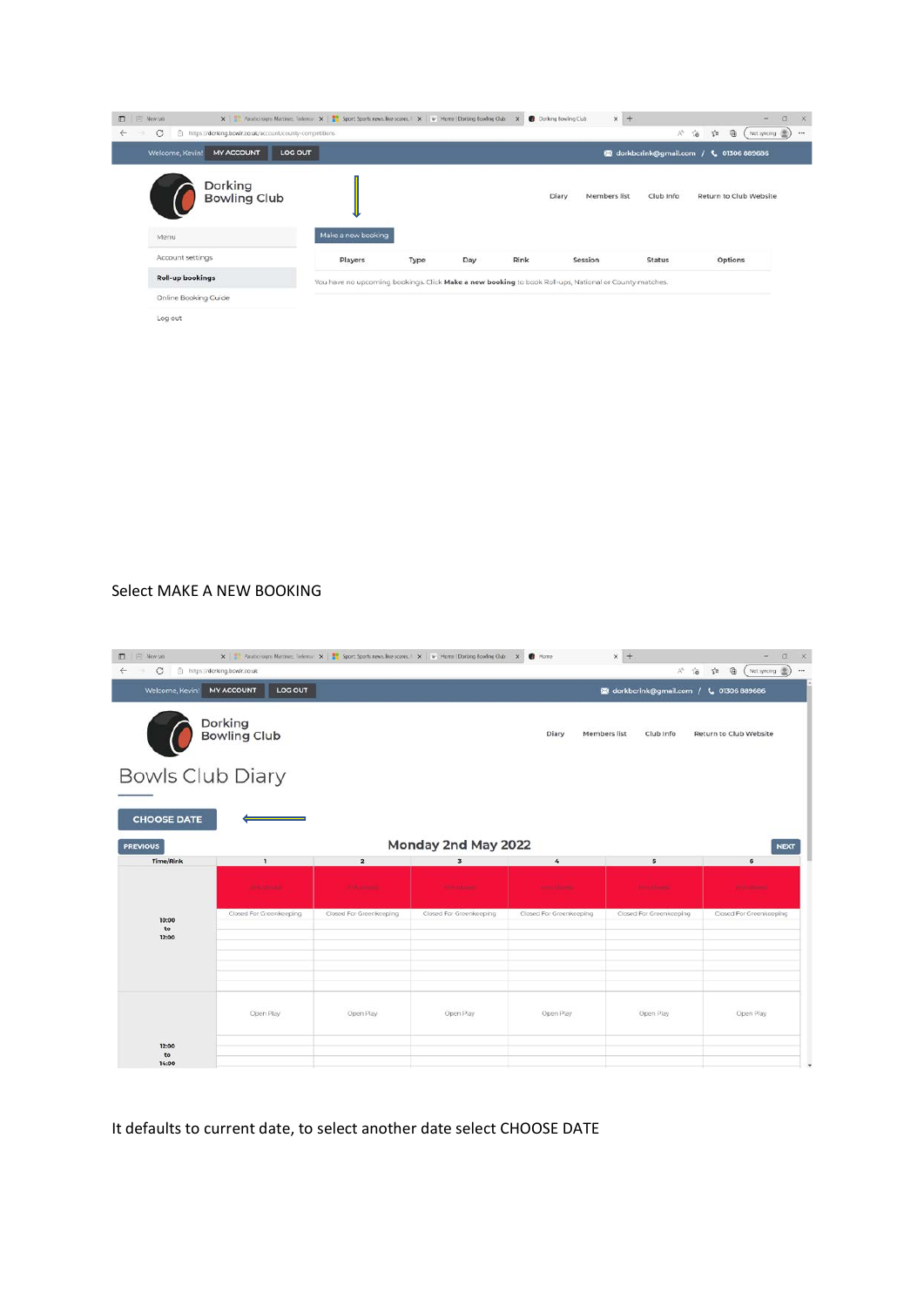

#### Select MAKE A NEW BOOKING

| D   E Newtab<br>$\circ$<br>-30 | https://dorking.bowlr.co.uk    |                         | X   Realist signs Mertinez, Telema X     Sport: Sports news, live scores.   X   W   Home   Dorking Bowling Club X | <b>C</b> Home           | $\times$ +<br>$\mathbb{A}^{\mathbb{N}}$<br>10 | $\Box$<br>$\rightarrow$<br>曲<br>$\leq$<br>Not syncing (B) |
|--------------------------------|--------------------------------|-------------------------|-------------------------------------------------------------------------------------------------------------------|-------------------------|-----------------------------------------------|-----------------------------------------------------------|
| Welcome, Kevin!                | <b>MY ACCOUNT</b><br>LOG OUT   |                         |                                                                                                                   |                         | <b>63</b> dorkbcrink@gmail.com /              | L 01306 889686                                            |
|                                | Dorking<br><b>Bowling Club</b> |                         |                                                                                                                   | Diary<br>Members list   | Club Info                                     | Return to Club Website                                    |
|                                | <b>Bowls Club Diary</b>        |                         |                                                                                                                   |                         |                                               |                                                           |
| <b>CHOOSE DATE</b>             |                                |                         |                                                                                                                   |                         |                                               |                                                           |
| <b>PREVIOUS</b>                |                                |                         | Monday 2nd May 2022                                                                                               |                         |                                               | <b>NEXT</b>                                               |
| <b>Time/Rink</b>               | $\mathbf{1}$                   | $\overline{\mathbf{2}}$ | $\overline{\mathbf{3}}$                                                                                           | 4                       | $5\overline{5}$                               | 6                                                         |
|                                | <b>DOM: Chinesed</b>           | <b>U.S. Alberta</b>     | <b>Cole Mission</b>                                                                                               | <b>Akası Kilmey</b>     | <b>Agency Adams</b>                           | <b>Partie Comment</b>                                     |
| 10:00<br>to                    | Closed For Greenkeeping        | Closed For Greenkeeping | Closed For Greenkeeping                                                                                           | Closed For Greenkeeping | Closed For Greenkeeping                       | Closed For Greenkeeping                                   |
| 12:00                          |                                |                         |                                                                                                                   |                         |                                               |                                                           |
|                                |                                |                         |                                                                                                                   |                         |                                               |                                                           |
|                                |                                |                         |                                                                                                                   |                         |                                               |                                                           |
|                                |                                |                         |                                                                                                                   |                         |                                               |                                                           |
|                                | Open Play                      | Open Play               | Open Play                                                                                                         | Open Play               | Open Play                                     | Open Play                                                 |
| 12:00<br>to                    |                                |                         |                                                                                                                   |                         |                                               |                                                           |

#### It defaults to current date, to select another date select CHOOSE DATE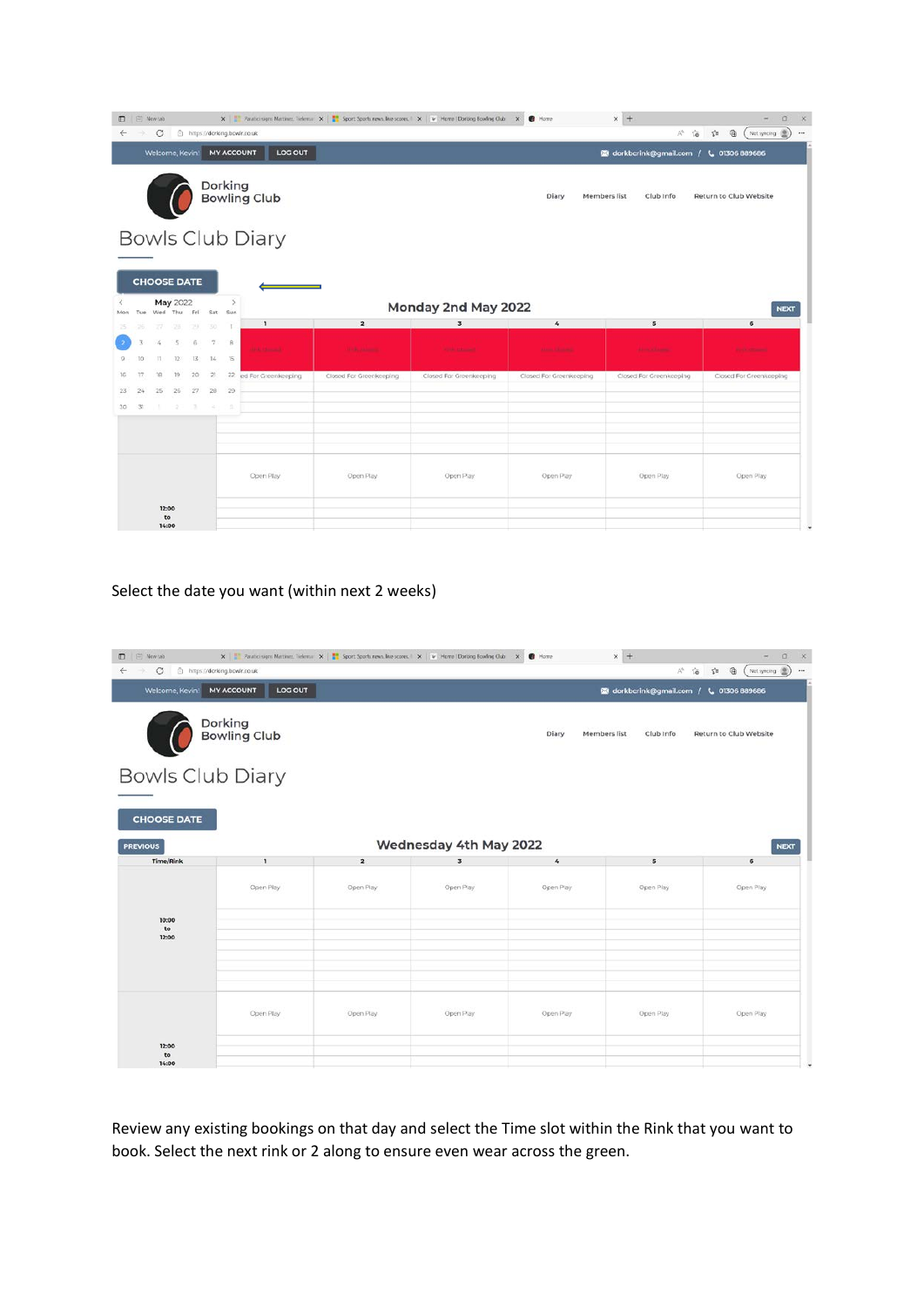| $\Box$       |       | New tab                    |                                |            |              |               |                                                             | X   Parabio signs Martinez, Tielema X     Sport: Sports news, live scores.   X   V   Home   Dorláng Bowling Club |                         | <b>C</b> Home<br>$\times$ | $x +$                                            | $\Box$<br>$\mathbf{x}$<br>$\overline{\phantom{a}}$ |
|--------------|-------|----------------------------|--------------------------------|------------|--------------|---------------|-------------------------------------------------------------|------------------------------------------------------------------------------------------------------------------|-------------------------|---------------------------|--------------------------------------------------|----------------------------------------------------|
| $\leftarrow$ | -30   | $\circ$<br>Welcome, Kevin! |                                |            |              |               | https://dorking.bowlr.co.uk<br>LOG OUT<br><b>MY ACCOUNT</b> |                                                                                                                  |                         |                           | A%<br>10                                         | ₲<br>Not syncing (B)<br>$\tau$<br>$\cdots$         |
|              |       |                            |                                |            |              |               |                                                             |                                                                                                                  |                         |                           | <b>128</b> dorkbcrink@gmail.com / L 01306 889686 |                                                    |
|              |       |                            |                                |            |              |               | Dorking<br>Bowling Club                                     |                                                                                                                  |                         | Diary                     | Members list<br>Club Info                        | Return to Club Website                             |
|              |       |                            |                                |            |              |               | <b>Bowls Club Diary</b>                                     |                                                                                                                  |                         |                           |                                                  |                                                    |
|              |       |                            |                                |            |              |               |                                                             |                                                                                                                  |                         |                           |                                                  |                                                    |
|              |       | <b>CHOOSE DATE</b>         |                                |            |              |               |                                                             |                                                                                                                  |                         |                           |                                                  |                                                    |
| Mon          | Tue   |                            | <b>May 2022</b><br>Wed Thu Fri |            |              | s<br>Sat Sun  |                                                             |                                                                                                                  | Monday 2nd May 2022     |                           |                                                  | <b>NEXT</b>                                        |
| 25           | 26    | z.                         | $-265$                         | 29.        | 30.          | $\mathcal{L}$ | $\mathbf{1}$                                                | $\overline{\mathbf{z}}$                                                                                          | 3                       | 4                         | $\overline{\mathbf{5}}$                          | 6                                                  |
| 17           | 10    | 4<br>TI:                   | 5<br>$12^{\circ}$              | 6.<br>13   | $\tau$<br>14 | B<br>15       | <b>DER CHANNEL</b>                                          | <b>U.S. James</b>                                                                                                | <b>King of Links</b>    | Alexander College         | <b>Advertising</b>                               | <b>Part &amp; Commercial</b>                       |
|              | 17    | 18                         | $19 -$                         | 20         | 21           | 22            | ed For Greenkeeping                                         | Closed For Greenkeeping                                                                                          | Closed For Greenkeeping | Closed For Greenkeeping   | Closed For Greenkeeping                          | Closed For Greenkeeping                            |
| 23           | 24    | 25                         | 26                             | ZI         | 28           | 29            |                                                             |                                                                                                                  |                         |                           |                                                  |                                                    |
| $30 -$       | $-31$ |                            | -27                            | <b>CEL</b> | 3,327        | ns:           |                                                             |                                                                                                                  |                         |                           |                                                  |                                                    |
|              |       |                            |                                |            |              |               |                                                             |                                                                                                                  |                         |                           |                                                  |                                                    |
|              |       |                            |                                |            |              |               | Open Play                                                   | Open Play                                                                                                        | Open Play               | Open Play                 | Open Play                                        | Open Play                                          |
|              |       |                            | 12:00                          |            |              |               |                                                             |                                                                                                                  |                         |                           |                                                  |                                                    |
|              |       |                            | to<br>14:00                    |            |              |               |                                                             |                                                                                                                  |                         |                           |                                                  | ۹                                                  |

## Select the date you want (within next 2 weeks)

| D   E Newtab<br>C @ https://dorking.bowlr.co.uk<br>$\leftarrow$<br>-92 |                              | X   Revise sam Metinez, Telema X     Sport: Sport: news, live scores.   X   V   Home   Dorking Bowling Club X     Home |                         |                        | $\times$ +<br>A <sup>h</sup> To                  | $\Omega$<br><b>X</b><br>$\sim$<br>⊕<br>$\leq$<br>Not syncing (B)<br>$\cdots$ |
|------------------------------------------------------------------------|------------------------------|------------------------------------------------------------------------------------------------------------------------|-------------------------|------------------------|--------------------------------------------------|------------------------------------------------------------------------------|
| Welcome, Kevin!                                                        | <b>MY ACCOUNT</b><br>LOG OUT |                                                                                                                        |                         |                        | <b>128</b> dorkbcrink@gmail.com / L 01306 889686 |                                                                              |
|                                                                        | Dorking<br>Bowling Club      |                                                                                                                        |                         | Diary<br>Members list  | Club Info                                        | Return to Club Website                                                       |
| <b>Bowls Club Diary</b>                                                |                              |                                                                                                                        |                         |                        |                                                  |                                                                              |
| <b>CHOOSE DATE</b>                                                     |                              |                                                                                                                        |                         |                        |                                                  |                                                                              |
| <b>PREVIOUS</b>                                                        |                              |                                                                                                                        | Wednesday 4th May 2022  |                        |                                                  | <b>NEXT</b>                                                                  |
| <b>Time/Rink</b>                                                       | л                            | $\overline{\mathbf{z}}$                                                                                                | $\overline{\mathbf{3}}$ | $\mathcal{L}_{\rm{r}}$ | $5\overline{5}$                                  | 6                                                                            |
| 10:00                                                                  | Open Play                    | Open Play                                                                                                              | Open Play               | Open Play              | Open Play                                        | Open Play                                                                    |
| to<br>12:00                                                            |                              |                                                                                                                        |                         |                        |                                                  |                                                                              |
|                                                                        |                              |                                                                                                                        |                         |                        |                                                  |                                                                              |
|                                                                        | Open Play                    | Open Play                                                                                                              | Open Play               | Open Play              | Open Play                                        | Open Play                                                                    |
| 12:00                                                                  |                              |                                                                                                                        |                         |                        |                                                  |                                                                              |

Review any existing bookings on that day and select the Time slot within the Rink that you want to book. Select the next rink or 2 along to ensure even wear across the green.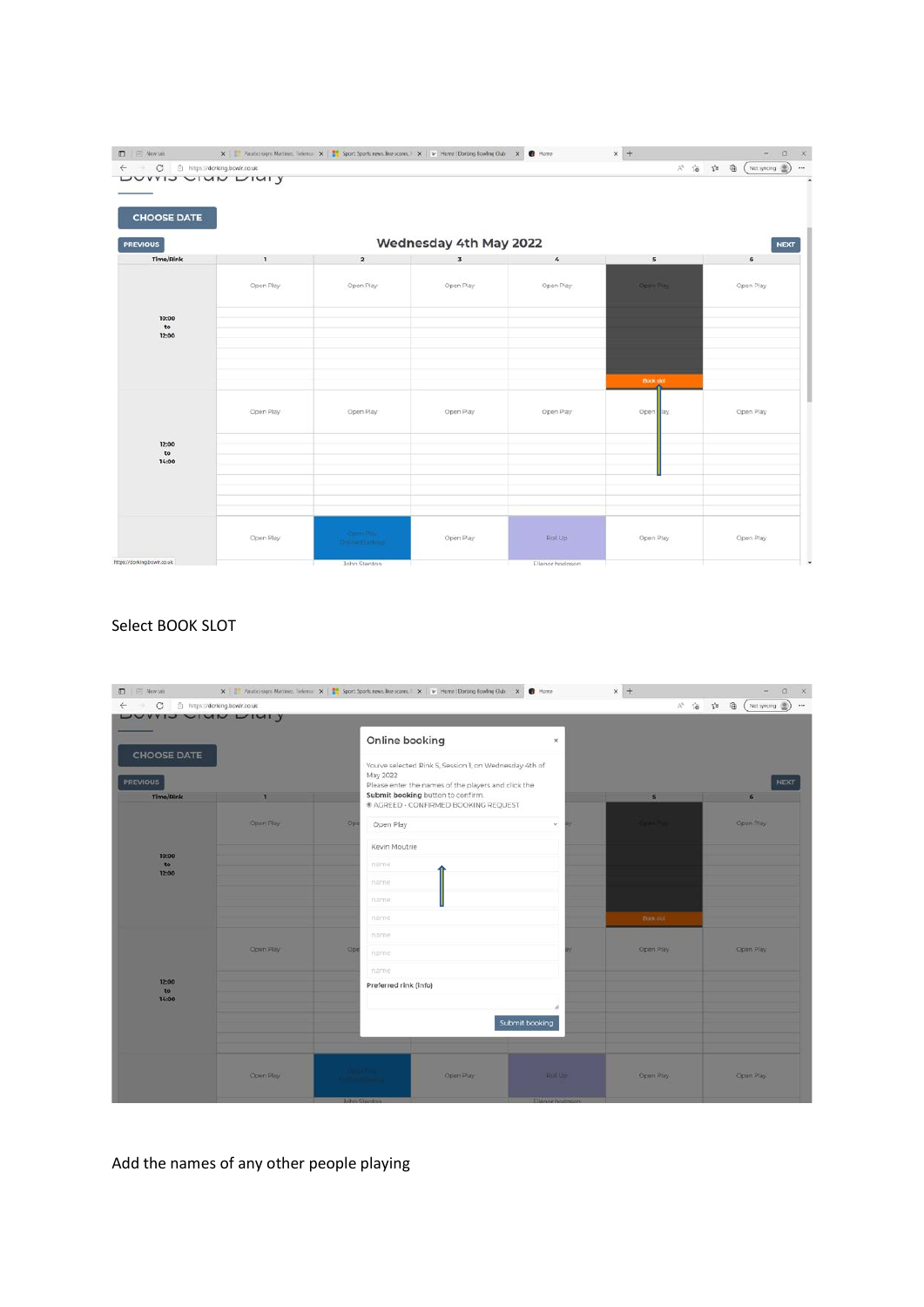| D   El Newtab<br>← → C □ https://dorking.bowlr.co.uk |                           | X   T. Paratic signs Mettines, Televisi: X   T. Sport Sports news, live scores, I X   V. Home   Dorking Bowling Oub X   10 Home |                         |                  | $\times$ +              | $\qquad \qquad \Box$<br>A <sup>1</sup> 宿 自 (Notsyncing 图) |
|------------------------------------------------------|---------------------------|---------------------------------------------------------------------------------------------------------------------------------|-------------------------|------------------|-------------------------|-----------------------------------------------------------|
|                                                      | <b>DUVVIO CIUM LIUI Y</b> |                                                                                                                                 |                         |                  |                         |                                                           |
| <b>CHOOSE DATE</b>                                   |                           |                                                                                                                                 |                         |                  |                         |                                                           |
| <b>PREVIOUS</b>                                      |                           |                                                                                                                                 | Wednesday 4th May 2022  |                  |                         | <b>NEXT</b>                                               |
| Time/Rink                                            | $\mathbf{1}$              | $\mathbf{2}$                                                                                                                    | $\overline{\mathbf{3}}$ | $\boldsymbol{4}$ | $\overline{\mathbf{5}}$ | 6                                                         |
|                                                      | Open Play                 | Open Play                                                                                                                       | Open Play               | Open Play        | Open Puy                | Open Play                                                 |
| 10:00<br>$\mathsf{to}$                               |                           |                                                                                                                                 |                         |                  |                         |                                                           |
| 12:00                                                |                           |                                                                                                                                 |                         |                  |                         |                                                           |
|                                                      |                           |                                                                                                                                 |                         |                  |                         |                                                           |
|                                                      |                           |                                                                                                                                 |                         |                  | <b>Book slot</b>        |                                                           |
|                                                      | Open Play                 | Open Play                                                                                                                       | Open Play               | Open Play        | Open ay                 | Open Play                                                 |
| 12:00                                                |                           |                                                                                                                                 |                         |                  |                         |                                                           |
| to<br>14:00                                          |                           |                                                                                                                                 |                         |                  |                         |                                                           |
|                                                      |                           |                                                                                                                                 |                         |                  |                         |                                                           |
|                                                      |                           |                                                                                                                                 |                         |                  |                         |                                                           |
|                                                      | Open Play                 | Celon Plus<br>Ontinie Booking                                                                                                   | Open Play               | Roll Up          | Open Play               | Open Play                                                 |
| https://dorking.bowlr.co.uk                          |                           | John Stenton                                                                                                                    |                         | Ellenor hodason  |                         |                                                           |

## Select BOOK SLOT

| D   E Newtab                        |           |     |                       |                                                                           |                 | $\times$ +        | $- \quad 0 \quad x$                |
|-------------------------------------|-----------|-----|-----------------------|---------------------------------------------------------------------------|-----------------|-------------------|------------------------------------|
| ← → C □ https://dorking.bowlr.co.uk |           |     |                       |                                                                           |                 |                   | A 俗 白 鱼 (Notsyncing 图)<br>$\cdots$ |
| LUVVIU VIUN LIUI Y                  |           |     |                       |                                                                           |                 |                   |                                    |
| <b>CHOOSE DATE</b>                  |           |     | Online booking        |                                                                           | ×               |                   |                                    |
|                                     |           |     | May 2022              | You've selected Rink S, Session 1, on Wednesday 4th of                    |                 |                   |                                    |
| <b>PREVIOUS</b>                     |           |     |                       | Please enter the names of the players and click the                       |                 |                   | <b>NEXT</b>                        |
| Time/Rink                           |           |     |                       | Submit booking button to confirm.<br># AGREED - CONFIRMED BOOKING REQUEST |                 | 5 <sub>1</sub>    | 6 <sup>2</sup>                     |
|                                     |           |     |                       |                                                                           |                 |                   |                                    |
|                                     | Open Play | Opt | Open Play             |                                                                           | $\omega$        | <b>Circo Puer</b> | Open Play:                         |
| 10:00                               |           |     | Kevin Moutrie         |                                                                           |                 |                   |                                    |
| to<br>12:00                         |           |     | name                  |                                                                           |                 |                   |                                    |
|                                     |           |     | name                  |                                                                           |                 |                   |                                    |
|                                     |           |     | name                  |                                                                           |                 |                   |                                    |
|                                     |           |     | name                  |                                                                           |                 | Book not          |                                    |
|                                     |           |     | name                  |                                                                           |                 |                   |                                    |
|                                     | Open Play | Ope | name                  |                                                                           |                 | Open Play         | Open Play                          |
|                                     |           |     | name                  |                                                                           |                 |                   |                                    |
| 12:00<br>to                         |           |     | Preferred rink (info) |                                                                           |                 |                   |                                    |
| 14:00                               |           |     |                       |                                                                           |                 |                   |                                    |
|                                     |           |     |                       |                                                                           |                 |                   |                                    |
|                                     |           |     |                       |                                                                           | Submit booking  |                   |                                    |
|                                     |           |     |                       |                                                                           |                 |                   |                                    |
|                                     |           |     | <b>Committee</b>      |                                                                           |                 |                   |                                    |
|                                     | Open Play |     |                       | Open Play                                                                 | <b>Roll Up:</b> | Open Play         | Open Play                          |
|                                     |           |     | <b>John Stenton</b>   |                                                                           | Ellenor hodgson |                   |                                    |

Add the names of any other people playing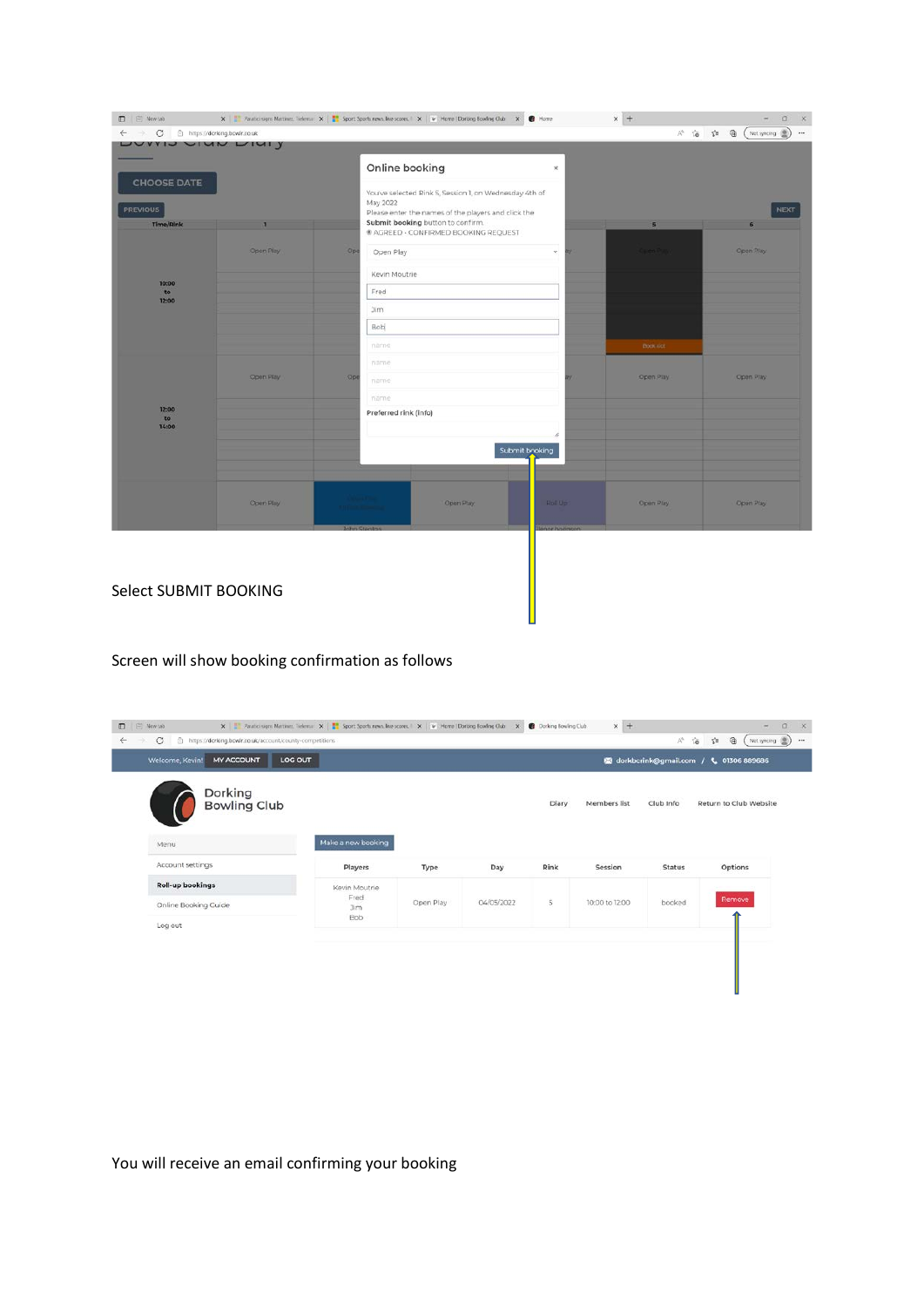| D   El Newtab                                                            |           |                    | X   The Paratici signs Mattinez, Tiefernar X   The Sport Sports news, live scores   X   V   Home   Dorking Bowling Club X   19 Home                                                   |     | $\times$ $\,$ +               | $a \times$<br>$-1$            |
|--------------------------------------------------------------------------|-----------|--------------------|---------------------------------------------------------------------------------------------------------------------------------------------------------------------------------------|-----|-------------------------------|-------------------------------|
| ← → C   @ https://dorking.bowlr.co.uk                                    |           |                    |                                                                                                                                                                                       |     |                               | A G 台 B (Notsyncing 图) --     |
| LUVVIU VIUN LIUI Y<br><b>CHOOSE DATE</b><br><b>PREVIOUS</b><br>Time/Rink |           |                    | Online booking<br>×<br>You've selected Rink 5, Session 1, on Wednesday 4th of<br>May 2022<br>Please enter the names of the players and click the<br>Submit booking button to confirm. |     | 5                             | <b>NEXT</b><br>6 <sup>2</sup> |
| 10:00<br>to<br>12:00                                                     | Open Play | Ope                | # AGREED - CONFIRMED BOOKING REQUEST<br>Open Play<br>$\omega$<br>Kevin Moutrie<br>Fred<br>Jim<br>Bob<br>name                                                                          | ay. | <b>Circo Puer</b><br>Book not | Open Play.                    |
| 12:00<br>to<br>14:00                                                     | Open Play | Opt                | name<br>name<br>name<br>Preferred rink (info)<br>Submit booking                                                                                                                       |     | Open Play                     | Open Play                     |
|                                                                          | Open Play | <b>John Cranto</b> | Open Play<br><b>Roll Up:</b><br>of the state of the local division<br><b><i>Alexandr Burnsday</i></b>                                                                                 |     | Open Play                     | Open Play                     |

#### Select SUBMIT BOOKING

Screen will show booking confirmation as follows

| Dorking<br><b>Bowling Club</b> |                    |           |            | Diary | Members list   | Club Info     | Return to Club Website |
|--------------------------------|--------------------|-----------|------------|-------|----------------|---------------|------------------------|
| Menu                           | Make a new booking |           |            |       |                |               |                        |
| Account settings               | Players            | Type      | Day        | Rink  | Session        | <b>Status</b> | Options                |
| <b>Roll-up bookings</b>        | Kevin Moutrie      |           |            |       |                |               |                        |
| Online Booking Guide           | Fred<br>3im        | Open Play | 04/05/2022 | 5     | 10:00 to 12:00 | booked        | Remove                 |
| Log out                        | Bob                |           |            |       |                |               |                        |

You will receive an email confirming your booking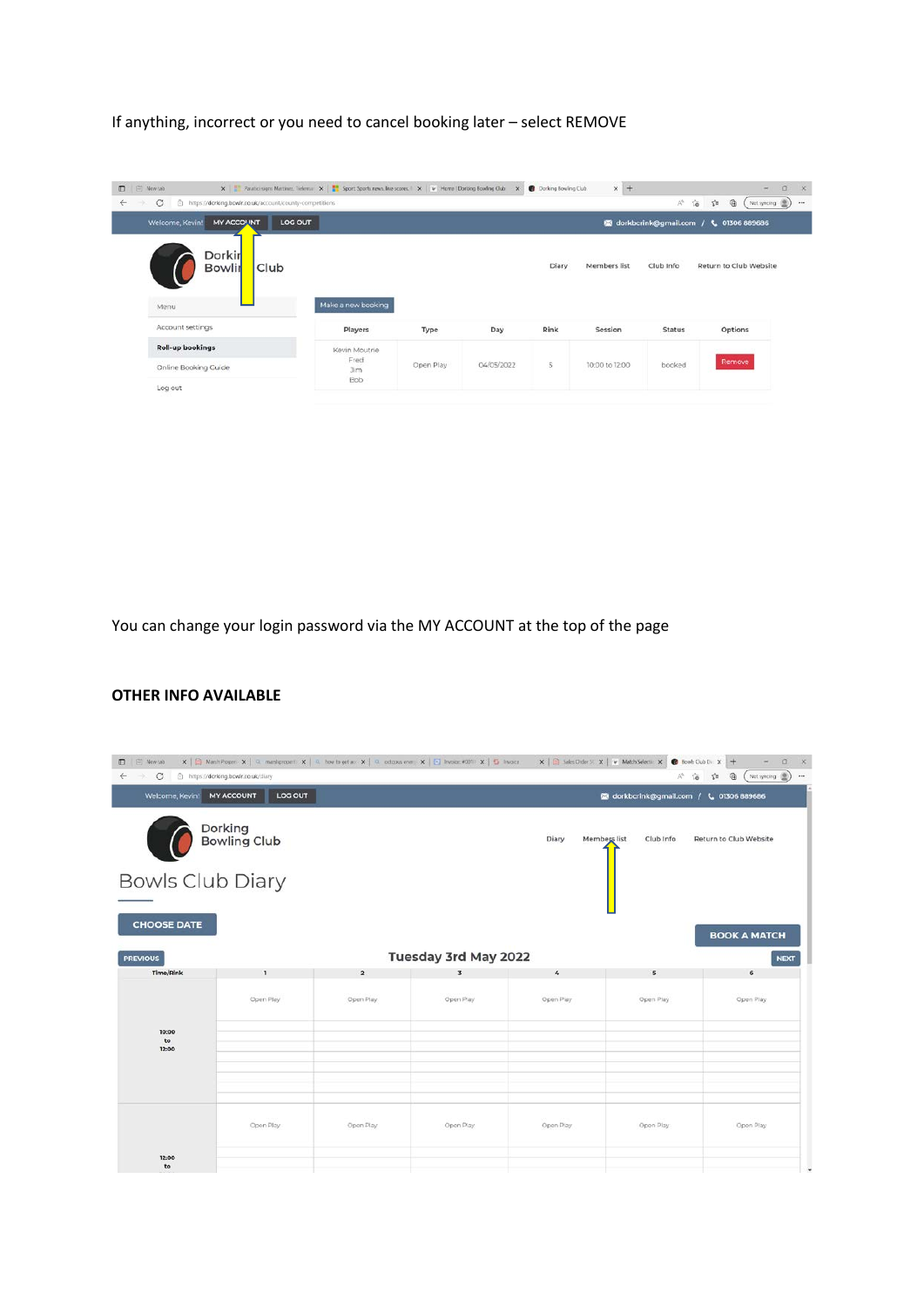If anything, incorrect or you need to cancel booking later – select REMOVE

| D   El Newtab<br>https://dorking.bowlr.co.uk/account/county-competitions | X   Revise signs Mettinez, Televia: X     Sport: Sports news, live scores.   X   V   Home   Dorking Bowling Club X |           |            | <b>Dorking Bowling Club</b> | $\times$ +     |                   | $\sigma$<br>$-$                                                           | $\mathbf{x}$<br>$+11$ |
|--------------------------------------------------------------------------|--------------------------------------------------------------------------------------------------------------------|-----------|------------|-----------------------------|----------------|-------------------|---------------------------------------------------------------------------|-----------------------|
| C<br>$\leftarrow$<br><b>MY ACCOUNT</b><br>LOG OUT<br>Welcome, Kevin!     |                                                                                                                    |           |            |                             |                | A <sup>h</sup> 10 | ⊕<br>$\leq$<br>Not syncing (B)<br>M dorkbcrink@gmail.com / L 01306 889686 |                       |
| Dorkir<br>Club<br><b>Bowlir</b><br>Menu                                  | Make a new booking                                                                                                 |           |            | Diary                       | Members list   | Club Info         | Return to Club Website                                                    |                       |
| Account settings                                                         | Players                                                                                                            | Type      | Day        | Rink                        | Session        | <b>Status</b>     | Options                                                                   |                       |
| <b>Roll-up bookings</b>                                                  | Kevin Moutrie                                                                                                      |           |            |                             |                |                   |                                                                           |                       |
| Online Booking Guide                                                     | Fred<br>3im                                                                                                        | Open Play | 04/05/2022 | 5                           | 10:00 to 12:00 | booked            | Remove                                                                    |                       |
| Log out                                                                  | <b>Bob</b>                                                                                                         |           |            |                             |                |                   |                                                                           |                       |

You can change your login password via the MY ACCOUNT at the top of the page

#### **OTHER INFO AVAILABLE**

| D   El Newtab<br>$\circ$<br>$\leftarrow$<br>-93 | X   A Menh Proper: X   C. matshproper): X   C. how to get a: X   C. octopus energy X   C. Invoice #2011: X   G. Invoice<br>https://dorking.bowlr.co.uk/diary |                |                         |                       | $\mathbf{x}$   $\mathbf{B}$ Sales Order S: $\mathbf{x}$   $\mathbf{v}$ Match Selectic $\mathbf{x}$   $\mathbf{B}$ Bowls Club Dic $\mathbf{x}$   $\mathbf{+}$ | $\Box$<br>$\rightarrow$<br>$\cdot$ $\times$<br>A 伯 白<br>曲<br>Not syncing (B)<br>$\cdots$ |
|-------------------------------------------------|--------------------------------------------------------------------------------------------------------------------------------------------------------------|----------------|-------------------------|-----------------------|--------------------------------------------------------------------------------------------------------------------------------------------------------------|------------------------------------------------------------------------------------------|
| Welcome, Kevin!                                 | <b>MY ACCOUNT</b><br>LOG OUT                                                                                                                                 |                |                         |                       | <b>120</b> dorkbcrink@gmail.com / L 01306 889686                                                                                                             |                                                                                          |
|                                                 | Dorking<br><b>Bowling Club</b>                                                                                                                               |                |                         | Diary<br>Members list | Club Info                                                                                                                                                    | Return to Club Website                                                                   |
| <b>Bowls Club Diary</b>                         |                                                                                                                                                              |                |                         |                       |                                                                                                                                                              |                                                                                          |
| <b>CHOOSE DATE</b><br><b>PREVIOUS</b>           |                                                                                                                                                              |                | Tuesday 3rd May 2022    |                       |                                                                                                                                                              | <b>BOOK A MATCH</b><br><b>NEXT</b>                                                       |
| Time/Rink                                       | $\mathbf{I}$                                                                                                                                                 | $\overline{2}$ | $\overline{\mathbf{3}}$ | 4                     | $\mathbf{s}$                                                                                                                                                 | 6                                                                                        |
| 10:00<br>to                                     | Open Play                                                                                                                                                    | Open Play      | Open Play               | Open Play             | Open Play                                                                                                                                                    | Open Play                                                                                |
| 12:00                                           |                                                                                                                                                              |                |                         |                       |                                                                                                                                                              |                                                                                          |
| 12:00                                           | Open Play                                                                                                                                                    | Open Play      | Opon Play               | Open Play             | Open Play                                                                                                                                                    | Open Play                                                                                |
| to                                              |                                                                                                                                                              |                |                         |                       |                                                                                                                                                              |                                                                                          |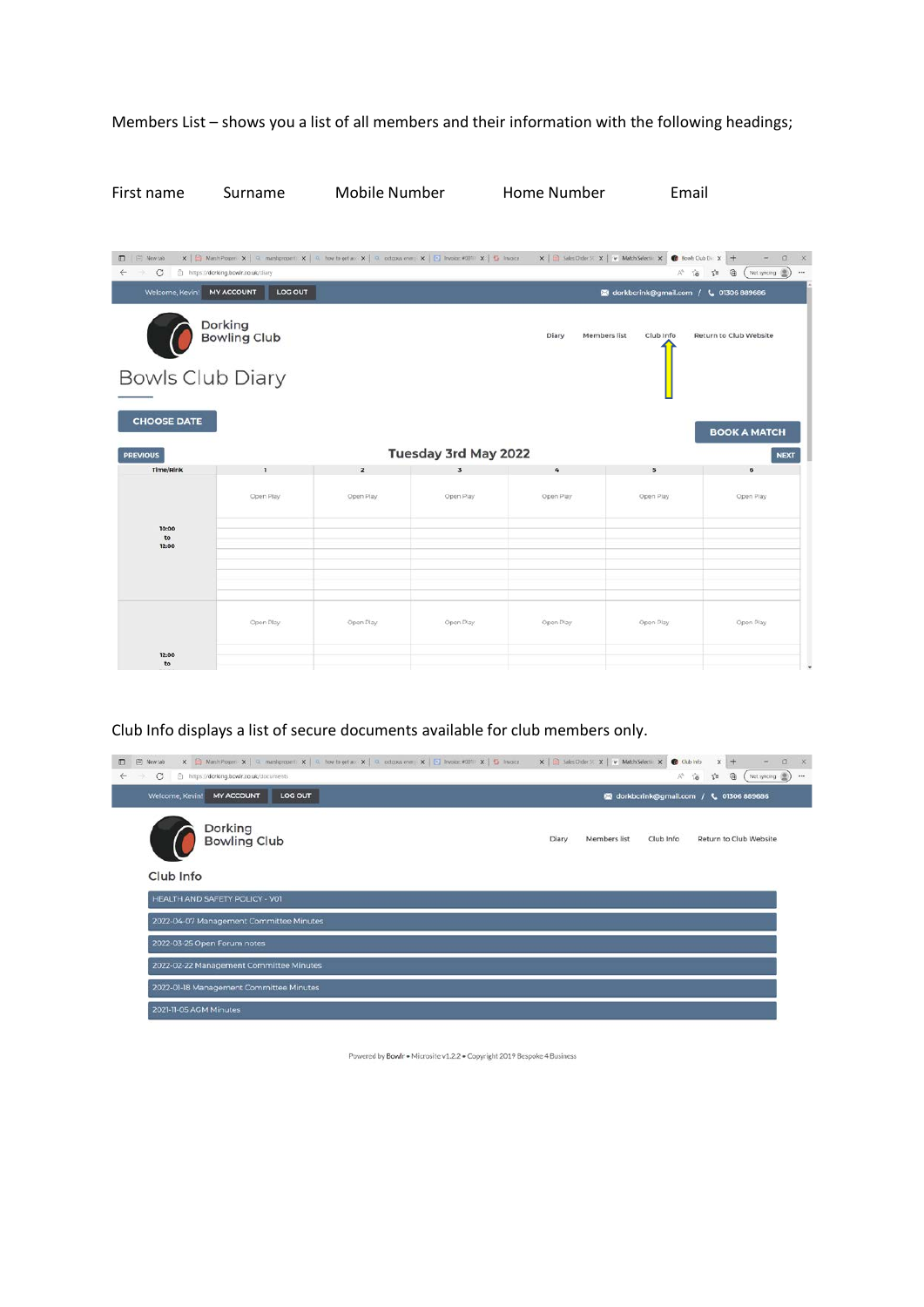## Members List – shows you a list of all members and their information with the following headings;

First name Surname Mobile Number Home Number Email

| $\leftarrow$ $\rightarrow$ C<br>Welcome, Kevin! | https://dorking.bowlr.co.uk/diary<br><b>MY ACCOUNT</b><br>LOG OUT |                |                         |                       | <b>12 dorkbcrink@gmail.com / L 01306 889686</b> | 产品<br>$\oplus$<br>Not syncing (B)<br>$\mathbb{C}^n$ |
|-------------------------------------------------|-------------------------------------------------------------------|----------------|-------------------------|-----------------------|-------------------------------------------------|-----------------------------------------------------|
|                                                 | Dorking<br>Bowling Club                                           |                |                         | Diary<br>Members list | Club Info                                       | Return to Club Website                              |
|                                                 | <b>Bowls Club Diary</b>                                           |                |                         |                       |                                                 |                                                     |
| <b>CHOOSE DATE</b>                              |                                                                   |                |                         |                       |                                                 | <b>BOOK A MATCH</b>                                 |
| <b>PREVIOUS</b>                                 |                                                                   |                | Tuesday 3rd May 2022    |                       |                                                 | <b>NEXT</b>                                         |
| Time/Rink                                       | ı                                                                 | $\overline{2}$ | $\overline{\mathbf{3}}$ | $\Delta$              | 5                                               | 6                                                   |
| 10:00<br>to<br>12:00                            | Open Play                                                         | Open Play      | Open Play               | Open Play             | Open Play                                       | Open Play                                           |

## Club Info displays a list of secure documents available for club members only.

| X   Mark Poper: X   C. maskproper: X   C. how to get a: X   C. octopan ever; X   C. bracker 4011: X   S. bracker X   B. black Dider S: X   w. Match Selectic X   @ Club Info<br><sup>9</sup> New tab<br>o<br>$\circ$<br>https://dorking.bowlr.co.uk/documents<br>$\leftarrow$<br>$\rightarrow$ | $x +$<br>$\Box$<br>×.<br>曲<br>Not syncing<br>AN.<br>$\vec{a}$<br>$\leq$<br>$***$ |
|------------------------------------------------------------------------------------------------------------------------------------------------------------------------------------------------------------------------------------------------------------------------------------------------|----------------------------------------------------------------------------------|
| <b>MY ACCOUNT</b><br>LOG OUT<br>Welcome, Kevin!                                                                                                                                                                                                                                                | M dorkbcrink@gmail.com / L 01306 889686                                          |
| Dorking<br><b>Bowling Club</b>                                                                                                                                                                                                                                                                 | Return to Club Website<br>Diary<br>Members list<br>Club Info                     |
| Club Info                                                                                                                                                                                                                                                                                      |                                                                                  |
| HEALTH AND SAFETY POLICY - VOI                                                                                                                                                                                                                                                                 |                                                                                  |
| 2022-04-07 Management Committee Minutes                                                                                                                                                                                                                                                        |                                                                                  |
| 2022-03-25 Open Forum notes                                                                                                                                                                                                                                                                    |                                                                                  |
| 2022-02-22 Management Committee Minutes                                                                                                                                                                                                                                                        |                                                                                  |
| 2022-01-18 Management Committee Minutes                                                                                                                                                                                                                                                        |                                                                                  |
| 2021-11-05 AGM Minutes                                                                                                                                                                                                                                                                         |                                                                                  |

Powered by Bowlr . Microsite v1.2.2 . Copyright 2019 Bespoke 4 Business